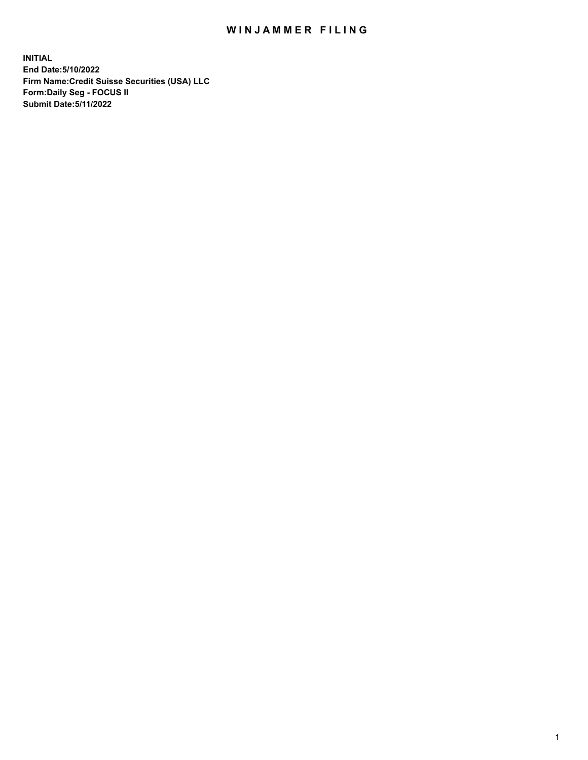# WIN JAMMER FILING

**INITIAL End Date:5/10/2022 Firm Name:Credit Suisse Securities (USA) LLC Form:Daily Seg - FOCUS II Submit Date:5/11/2022**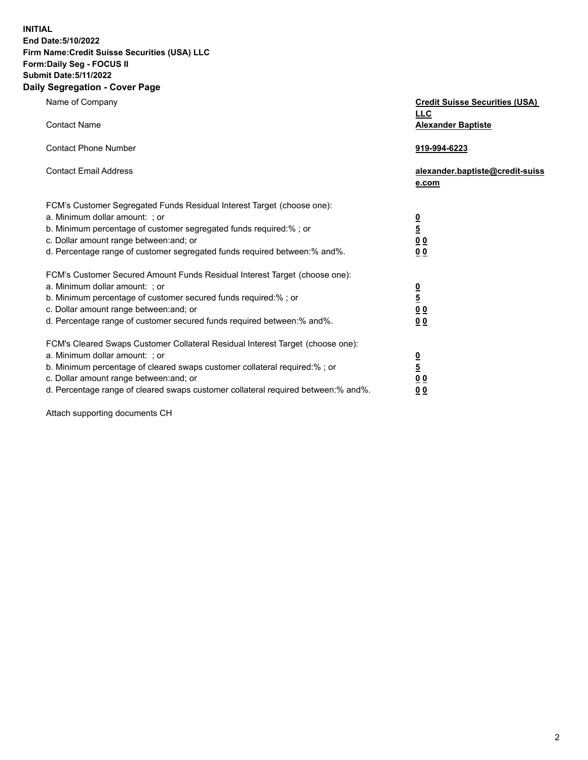**INITIAL End Date:5/10/2022** 

## **Firm Name:Credit Suisse Securities (USA) LLC Form:Daily Seg - FOCUS II Submit Date:5/11/2022**

### **Daily Segregation - Cover Page**

| Name of Company                                                                                                                                                                                                                                                                                                                | <b>Credit Suisse Securities (USA)</b><br><b>LLC</b>              |
|--------------------------------------------------------------------------------------------------------------------------------------------------------------------------------------------------------------------------------------------------------------------------------------------------------------------------------|------------------------------------------------------------------|
| <b>Contact Name</b>                                                                                                                                                                                                                                                                                                            | <b>Alexander Baptiste</b>                                        |
| <b>Contact Phone Number</b>                                                                                                                                                                                                                                                                                                    | 919-994-6223                                                     |
| <b>Contact Email Address</b>                                                                                                                                                                                                                                                                                                   | alexander.baptiste@credit-suiss<br>e.com                         |
| FCM's Customer Segregated Funds Residual Interest Target (choose one):<br>a. Minimum dollar amount: ; or<br>b. Minimum percentage of customer segregated funds required:% ; or<br>c. Dollar amount range between: and; or<br>d. Percentage range of customer segregated funds required between:% and%.                         | $\frac{\frac{0}{5}}{\frac{0}{0}}$<br>0 <sub>0</sub>              |
| FCM's Customer Secured Amount Funds Residual Interest Target (choose one):<br>a. Minimum dollar amount: ; or<br>b. Minimum percentage of customer secured funds required:% ; or<br>c. Dollar amount range between: and; or<br>d. Percentage range of customer secured funds required between:% and%.                           | $\frac{0}{5}$<br>$\underline{0} \underline{0}$<br>0 <sub>0</sub> |
| FCM's Cleared Swaps Customer Collateral Residual Interest Target (choose one):<br>a. Minimum dollar amount: ; or<br>b. Minimum percentage of cleared swaps customer collateral required:% ; or<br>c. Dollar amount range between: and; or<br>d. Percentage range of cleared swaps customer collateral required between:% and%. | $\frac{0}{5}$<br>0 <sub>0</sub><br>0 <sub>0</sub>                |

Attach supporting documents CH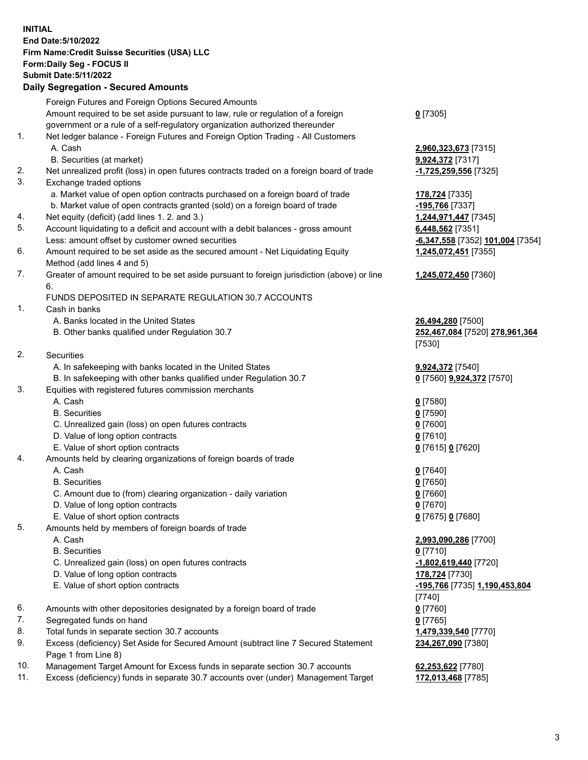#### **INITIAL End Date:5/10/2022 Firm Name:Credit Suisse Securities (USA) LLC Form:Daily Seg - FOCUS II Submit Date:5/11/2022**

### **Daily Segregation - Secured Amounts**

|     | Foreign Futures and Foreign Options Secured Amounts                                         |                                  |
|-----|---------------------------------------------------------------------------------------------|----------------------------------|
|     | Amount required to be set aside pursuant to law, rule or regulation of a foreign            | $0$ [7305]                       |
|     | government or a rule of a self-regulatory organization authorized thereunder                |                                  |
| 1.  | Net ledger balance - Foreign Futures and Foreign Option Trading - All Customers             |                                  |
|     | A. Cash                                                                                     | 2,960,323,673 [7315]             |
|     | B. Securities (at market)                                                                   | 9,924,372 [7317]                 |
| 2.  | Net unrealized profit (loss) in open futures contracts traded on a foreign board of trade   | -1,725,259,556 [7325]            |
| 3.  | Exchange traded options                                                                     |                                  |
|     | a. Market value of open option contracts purchased on a foreign board of trade              | 178,724 [7335]                   |
|     | b. Market value of open contracts granted (sold) on a foreign board of trade                | -195,766 [7337]                  |
| 4.  | Net equity (deficit) (add lines 1. 2. and 3.)                                               | 1,244,971,447 [7345]             |
| 5.  |                                                                                             |                                  |
|     | Account liquidating to a deficit and account with a debit balances - gross amount           | 6,448,562 [7351]                 |
|     | Less: amount offset by customer owned securities                                            | -6,347,558 [7352] 101,004 [7354] |
| 6.  | Amount required to be set aside as the secured amount - Net Liquidating Equity              | 1,245,072,451 [7355]             |
|     | Method (add lines 4 and 5)                                                                  |                                  |
| 7.  | Greater of amount required to be set aside pursuant to foreign jurisdiction (above) or line | 1,245,072,450 [7360]             |
|     | 6.                                                                                          |                                  |
|     | FUNDS DEPOSITED IN SEPARATE REGULATION 30.7 ACCOUNTS                                        |                                  |
| 1.  | Cash in banks                                                                               |                                  |
|     | A. Banks located in the United States                                                       | 26,494,280 [7500]                |
|     | B. Other banks qualified under Regulation 30.7                                              | 252,467,084 [7520] 278,961,364   |
|     |                                                                                             | [7530]                           |
| 2.  | Securities                                                                                  |                                  |
|     | A. In safekeeping with banks located in the United States                                   | 9,924,372 [7540]                 |
|     | B. In safekeeping with other banks qualified under Regulation 30.7                          | 0 [7560] 9,924,372 [7570]        |
| 3.  | Equities with registered futures commission merchants                                       |                                  |
|     | A. Cash                                                                                     | $0$ [7580]                       |
|     | <b>B.</b> Securities                                                                        | $0$ [7590]                       |
|     | C. Unrealized gain (loss) on open futures contracts                                         | $0$ [7600]                       |
|     | D. Value of long option contracts                                                           | $0$ [7610]                       |
|     | E. Value of short option contracts                                                          | 0 [7615] 0 [7620]                |
| 4.  | Amounts held by clearing organizations of foreign boards of trade                           |                                  |
|     | A. Cash                                                                                     | $0$ [7640]                       |
|     | <b>B.</b> Securities                                                                        | $0$ [7650]                       |
|     | C. Amount due to (from) clearing organization - daily variation                             | $0$ [7660]                       |
|     | D. Value of long option contracts                                                           | $0$ [7670]                       |
|     | E. Value of short option contracts                                                          | 0 [7675] 0 [7680]                |
| 5.  | Amounts held by members of foreign boards of trade                                          |                                  |
|     |                                                                                             |                                  |
|     | A. Cash                                                                                     | 2,993,090,286 [7700]             |
|     | <b>B.</b> Securities                                                                        | $0$ [7710]                       |
|     | C. Unrealized gain (loss) on open futures contracts                                         | -1,802,619,440 [7720]            |
|     | D. Value of long option contracts                                                           | 178,724 [7730]                   |
|     | E. Value of short option contracts                                                          | -195,766 [7735] 1,190,453,804    |
|     |                                                                                             | [7740]                           |
| 6.  | Amounts with other depositories designated by a foreign board of trade                      | $0$ [7760]                       |
| 7.  | Segregated funds on hand                                                                    | $0$ [7765]                       |
| 8.  | Total funds in separate section 30.7 accounts                                               | 1,479,339,540 [7770]             |
| 9.  | Excess (deficiency) Set Aside for Secured Amount (subtract line 7 Secured Statement         | 234,267,090 [7380]               |
|     | Page 1 from Line 8)                                                                         |                                  |
| 10. | Management Target Amount for Excess funds in separate section 30.7 accounts                 | 62,253,622 [7780]                |
| 11. | Excess (deficiency) funds in separate 30.7 accounts over (under) Management Target          | 172,013,468 [7785]               |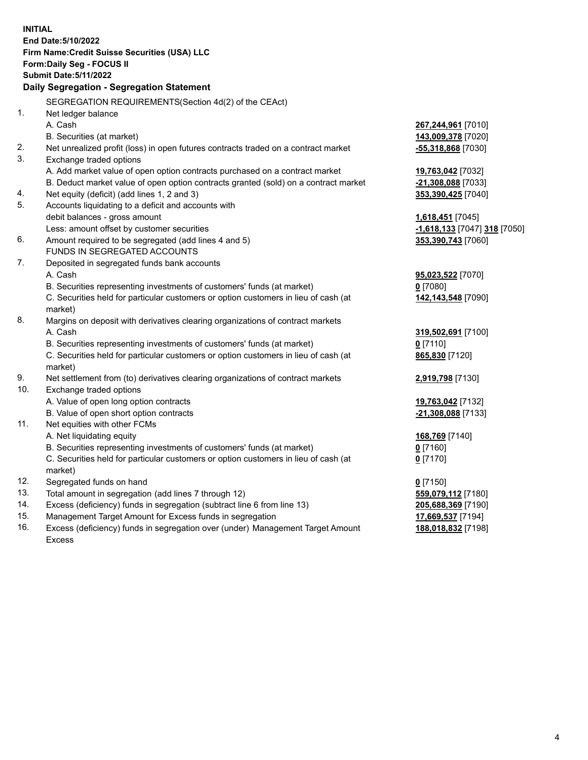|     | <b>INITIAL</b>                                                                      |                              |
|-----|-------------------------------------------------------------------------------------|------------------------------|
|     | End Date: 5/10/2022                                                                 |                              |
|     | Firm Name: Credit Suisse Securities (USA) LLC                                       |                              |
|     | Form: Daily Seg - FOCUS II                                                          |                              |
|     | <b>Submit Date: 5/11/2022</b>                                                       |                              |
|     | Daily Segregation - Segregation Statement                                           |                              |
|     | SEGREGATION REQUIREMENTS(Section 4d(2) of the CEAct)                                |                              |
| 1.  | Net ledger balance                                                                  |                              |
|     | A. Cash                                                                             | 267,244,961 [7010]           |
|     | B. Securities (at market)                                                           | 143,009,378 [7020]           |
| 2.  | Net unrealized profit (loss) in open futures contracts traded on a contract market  | -55,318,868 [7030]           |
| 3.  | Exchange traded options                                                             |                              |
|     | A. Add market value of open option contracts purchased on a contract market         | 19,763,042 [7032]            |
|     | B. Deduct market value of open option contracts granted (sold) on a contract market | -21,308,088 [7033]           |
| 4.  | Net equity (deficit) (add lines 1, 2 and 3)                                         | 353,390,425 [7040]           |
| 5.  | Accounts liquidating to a deficit and accounts with                                 |                              |
|     | debit balances - gross amount                                                       | 1,618,451 [7045]             |
|     | Less: amount offset by customer securities                                          | -1,618,133 [7047] 318 [7050] |
| 6.  | Amount required to be segregated (add lines 4 and 5)                                | 353,390,743 [7060]           |
|     | FUNDS IN SEGREGATED ACCOUNTS                                                        |                              |
| 7.  | Deposited in segregated funds bank accounts                                         |                              |
|     | A. Cash                                                                             | 95,023,522 [7070]            |
|     | B. Securities representing investments of customers' funds (at market)              | $0$ [7080]                   |
|     | C. Securities held for particular customers or option customers in lieu of cash (at | 142,143,548 [7090]           |
|     | market)                                                                             |                              |
| 8.  | Margins on deposit with derivatives clearing organizations of contract markets      |                              |
|     | A. Cash                                                                             | 319,502,691 [7100]           |
|     | B. Securities representing investments of customers' funds (at market)              | $0$ [7110]                   |
|     | C. Securities held for particular customers or option customers in lieu of cash (at | 865,830 [7120]               |
|     | market)                                                                             |                              |
| 9.  | Net settlement from (to) derivatives clearing organizations of contract markets     | 2,919,798 [7130]             |
| 10. | Exchange traded options                                                             |                              |
|     | A. Value of open long option contracts                                              | 19,763,042 [7132]            |
|     | B. Value of open short option contracts                                             | -21,308,088 [7133]           |
| 11. | Net equities with other FCMs                                                        |                              |
|     | A. Net liquidating equity                                                           | 168,769 [7140]               |
|     | B. Securities representing investments of customers' funds (at market)              | $0$ [7160]                   |
|     | C. Securities held for particular customers or option customers in lieu of cash (at | $0$ [7170]                   |
|     | market)                                                                             |                              |
| 12. | Segregated funds on hand                                                            | $0$ [7150]                   |
| 13. | Total amount in segregation (add lines 7 through 12)                                | 559,079,112 [7180]           |
| 14. | Excess (deficiency) funds in segregation (subtract line 6 from line 13)             | 205,688,369 [7190]           |
| 15. | Management Target Amount for Excess funds in segregation                            | 17,669,537 [7194]            |
| 16. | Excess (deficiency) funds in segregation over (under) Management Target Amount      | 188,018,832 [7198]           |
|     | <b>Excess</b>                                                                       |                              |